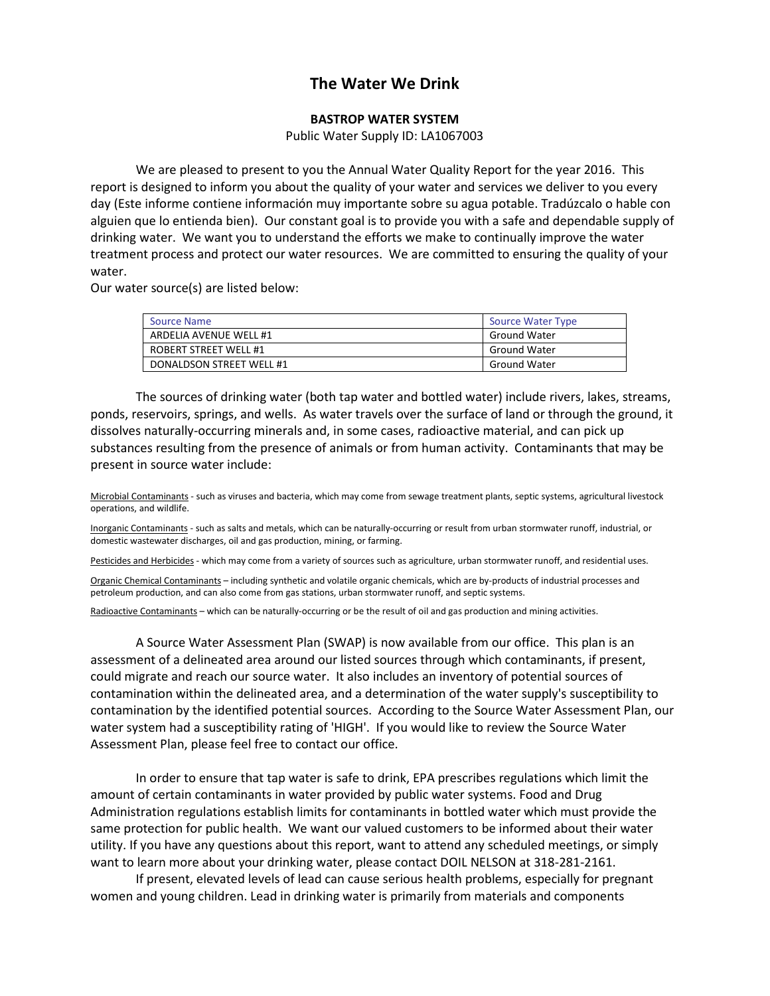## **The Water We Drink**

## **BASTROP WATER SYSTEM**

Public Water Supply ID: LA1067003

We are pleased to present to you the Annual Water Quality Report for the year 2016. This report is designed to inform you about the quality of your water and services we deliver to you every day (Este informe contiene información muy importante sobre su agua potable. Tradúzcalo o hable con alguien que lo entienda bien). Our constant goal is to provide you with a safe and dependable supply of drinking water. We want you to understand the efforts we make to continually improve the water treatment process and protect our water resources. We are committed to ensuring the quality of your water.

Our water source(s) are listed below:

| <b>Source Name</b>           | <b>Source Water Type</b> |
|------------------------------|--------------------------|
| ARDELIA AVENUE WELL #1       | <b>Ground Water</b>      |
| <b>ROBERT STREET WELL #1</b> | <b>Ground Water</b>      |
| DONALDSON STREET WELL #1     | <b>Ground Water</b>      |

The sources of drinking water (both tap water and bottled water) include rivers, lakes, streams, ponds, reservoirs, springs, and wells. As water travels over the surface of land or through the ground, it dissolves naturally-occurring minerals and, in some cases, radioactive material, and can pick up substances resulting from the presence of animals or from human activity. Contaminants that may be present in source water include:

Microbial Contaminants - such as viruses and bacteria, which may come from sewage treatment plants, septic systems, agricultural livestock operations, and wildlife.

Inorganic Contaminants - such as salts and metals, which can be naturally-occurring or result from urban stormwater runoff, industrial, or domestic wastewater discharges, oil and gas production, mining, or farming.

Pesticides and Herbicides - which may come from a variety of sources such as agriculture, urban stormwater runoff, and residential uses.

Organic Chemical Contaminants – including synthetic and volatile organic chemicals, which are by-products of industrial processes and petroleum production, and can also come from gas stations, urban stormwater runoff, and septic systems.

Radioactive Contaminants – which can be naturally-occurring or be the result of oil and gas production and mining activities.

A Source Water Assessment Plan (SWAP) is now available from our office. This plan is an assessment of a delineated area around our listed sources through which contaminants, if present, could migrate and reach our source water. It also includes an inventory of potential sources of contamination within the delineated area, and a determination of the water supply's susceptibility to contamination by the identified potential sources. According to the Source Water Assessment Plan, our water system had a susceptibility rating of 'HIGH'. If you would like to review the Source Water Assessment Plan, please feel free to contact our office.

In order to ensure that tap water is safe to drink, EPA prescribes regulations which limit the amount of certain contaminants in water provided by public water systems. Food and Drug Administration regulations establish limits for contaminants in bottled water which must provide the same protection for public health. We want our valued customers to be informed about their water utility. If you have any questions about this report, want to attend any scheduled meetings, or simply want to learn more about your drinking water, please contact DOIL NELSON at 318-281-2161.

If present, elevated levels of lead can cause serious health problems, especially for pregnant women and young children. Lead in drinking water is primarily from materials and components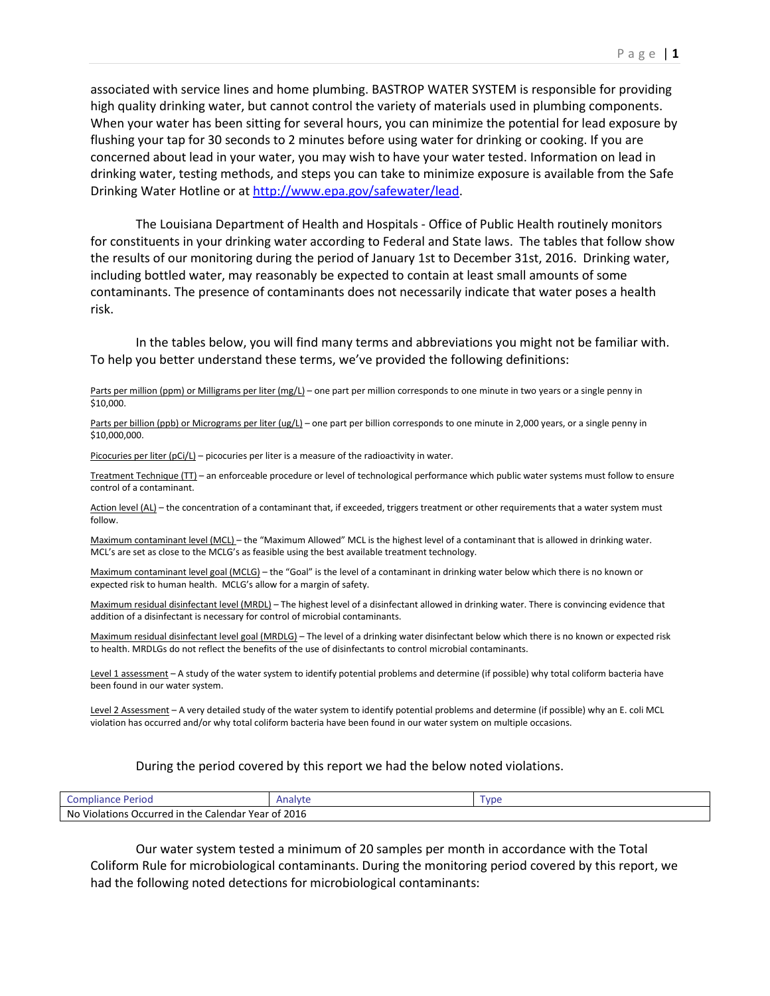associated with service lines and home plumbing. BASTROP WATER SYSTEM is responsible for providing high quality drinking water, but cannot control the variety of materials used in plumbing components. When your water has been sitting for several hours, you can minimize the potential for lead exposure by flushing your tap for 30 seconds to 2 minutes before using water for drinking or cooking. If you are concerned about lead in your water, you may wish to have your water tested. Information on lead in drinking water, testing methods, and steps you can take to minimize exposure is available from the Safe Drinking Water Hotline or at [http://www.epa.gov/safewater/lead.](http://www.epa.gov/safewater/lead)

The Louisiana Department of Health and Hospitals - Office of Public Health routinely monitors for constituents in your drinking water according to Federal and State laws. The tables that follow show the results of our monitoring during the period of January 1st to December 31st, 2016. Drinking water, including bottled water, may reasonably be expected to contain at least small amounts of some contaminants. The presence of contaminants does not necessarily indicate that water poses a health risk.

In the tables below, you will find many terms and abbreviations you might not be familiar with. To help you better understand these terms, we've provided the following definitions:

Parts per million (ppm) or Milligrams per liter (mg/L) – one part per million corresponds to one minute in two years or a single penny in \$10,000.

Parts per billion (ppb) or Micrograms per liter (ug/L) – one part per billion corresponds to one minute in 2,000 years, or a single penny in \$10,000,000.

Picocuries per liter ( $pCi/L$ ) – picocuries per liter is a measure of the radioactivity in water.

Treatment Technique (TT) – an enforceable procedure or level of technological performance which public water systems must follow to ensure control of a contaminant.

Action level (AL) – the concentration of a contaminant that, if exceeded, triggers treatment or other requirements that a water system must follow.

Maximum contaminant level (MCL) – the "Maximum Allowed" MCL is the highest level of a contaminant that is allowed in drinking water. MCL's are set as close to the MCLG's as feasible using the best available treatment technology.

Maximum contaminant level goal (MCLG) – the "Goal" is the level of a contaminant in drinking water below which there is no known or expected risk to human health. MCLG's allow for a margin of safety.

Maximum residual disinfectant level (MRDL) – The highest level of a disinfectant allowed in drinking water. There is convincing evidence that addition of a disinfectant is necessary for control of microbial contaminants.

Maximum residual disinfectant level goal (MRDLG) – The level of a drinking water disinfectant below which there is no known or expected risk to health. MRDLGs do not reflect the benefits of the use of disinfectants to control microbial contaminants.

Level 1 assessment - A study of the water system to identify potential problems and determine (if possible) why total coliform bacteria have been found in our water system.

Level 2 Assessment - A very detailed study of the water system to identify potential problems and determine (if possible) why an E. coli MCL violation has occurred and/or why total coliform bacteria have been found in our water system on multiple occasions.

## During the period covered by this report we had the below noted violations.

| Period<br>Compliance                                                    | Analyte | VD6 |  |  |  |  |  |
|-------------------------------------------------------------------------|---------|-----|--|--|--|--|--|
| 2016<br>No<br>. Violations Occurred in I<br>: Calendar Year of<br>the C |         |     |  |  |  |  |  |

Our water system tested a minimum of 20 samples per month in accordance with the Total Coliform Rule for microbiological contaminants. During the monitoring period covered by this report, we had the following noted detections for microbiological contaminants: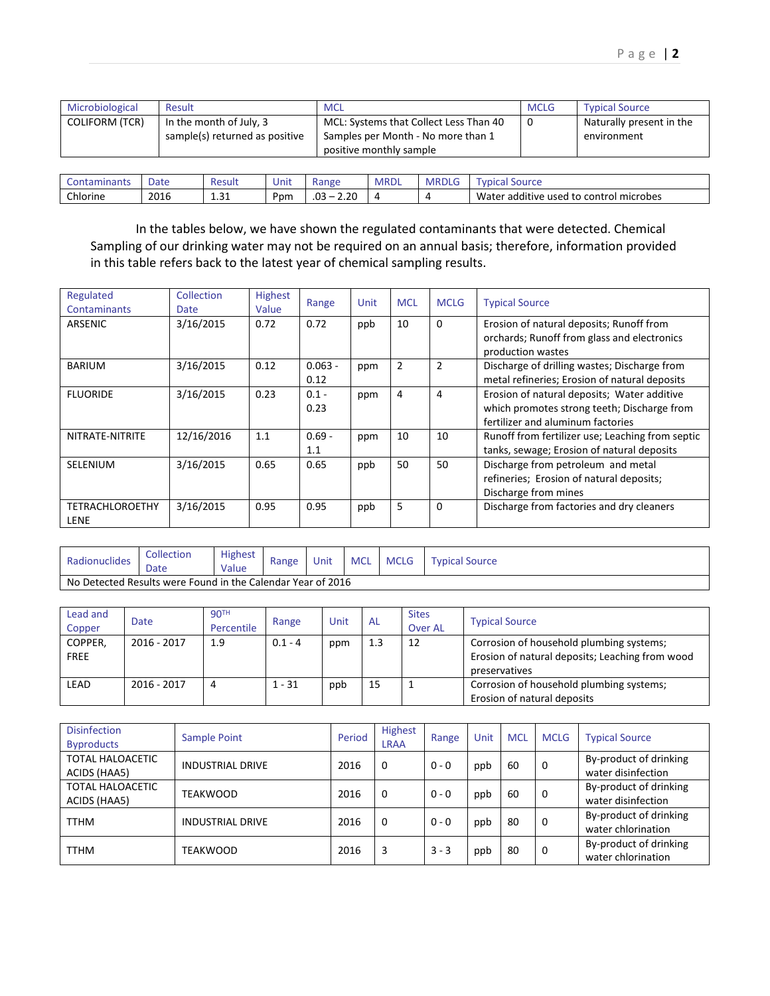| Microbiological | Result      |                                                           |      | <b>MCL</b> |                                                                                                         |              | <b>MCLG</b>           | <b>Typical Source</b>                   |  |
|-----------------|-------------|-----------------------------------------------------------|------|------------|---------------------------------------------------------------------------------------------------------|--------------|-----------------------|-----------------------------------------|--|
| COLIFORM (TCR)  |             | In the month of July, 3<br>sample(s) returned as positive |      |            | MCL: Systems that Collect Less Than 40<br>Samples per Month - No more than 1<br>positive monthly sample |              | 0                     | Naturally present in the<br>environment |  |
|                 |             |                                                           |      |            |                                                                                                         |              |                       |                                         |  |
| Contaminants    | <b>Date</b> | Result                                                    | Unit | Range      | <b>MRDL</b>                                                                                             | <b>MRDLG</b> | <b>Typical Source</b> |                                         |  |

In the tables below, we have shown the regulated contaminants that were detected. Chemical Sampling of our drinking water may not be required on an annual basis; therefore, information provided in this table refers back to the latest year of chemical sampling results.

Chlorine 2016 1.31 Ppm .03 – 2.20 4 4 Water additive used to control microbes

| Regulated<br>Contaminants             | Collection<br>Date | <b>Highest</b><br>Value | Range             | Unit | <b>MCL</b>     | <b>MCLG</b>    | <b>Typical Source</b>                                                                                                           |
|---------------------------------------|--------------------|-------------------------|-------------------|------|----------------|----------------|---------------------------------------------------------------------------------------------------------------------------------|
| ARSENIC                               | 3/16/2015          | 0.72                    | 0.72              | ppb  | 10             | 0              | Erosion of natural deposits; Runoff from<br>orchards; Runoff from glass and electronics<br>production wastes                    |
| <b>BARIUM</b>                         | 3/16/2015          | 0.12                    | $0.063 -$<br>0.12 | ppm  | $\overline{2}$ | $\overline{2}$ | Discharge of drilling wastes; Discharge from<br>metal refineries; Erosion of natural deposits                                   |
| <b>FLUORIDE</b>                       | 3/16/2015          | 0.23                    | $0.1 -$<br>0.23   | ppm  | 4              | 4              | Erosion of natural deposits; Water additive<br>which promotes strong teeth; Discharge from<br>fertilizer and aluminum factories |
| NITRATE-NITRITE                       | 12/16/2016         | 1.1                     | $0.69 -$<br>1.1   | ppm  | 10             | 10             | Runoff from fertilizer use; Leaching from septic<br>tanks, sewage; Erosion of natural deposits                                  |
| SELENIUM                              | 3/16/2015          | 0.65                    | 0.65              | ppb  | 50             | 50             | Discharge from petroleum and metal<br>refineries; Erosion of natural deposits;<br>Discharge from mines                          |
| <b>TETRACHLOROETHY</b><br><b>LENE</b> | 3/16/2015          | 0.95                    | 0.95              | ppb  | 5              | 0              | Discharge from factories and dry cleaners                                                                                       |

| Radionuclides                                               | Collection<br>Dale | <b>Highest</b><br>Value | Range | Unit | <b>MCL</b> | <b>MCLG</b> | Tvpical .<br>Source |  |
|-------------------------------------------------------------|--------------------|-------------------------|-------|------|------------|-------------|---------------------|--|
| No Detected Results were Found in the Calendar Year of 2016 |                    |                         |       |      |            |             |                     |  |

| Lead and<br>Copper     | <b>Date</b> | 90 <sup>TH</sup><br>Percentile | Range     | Unit | <b>AL</b> | <b>Sites</b><br><b>Over AL</b> | <b>Typical Source</b>                                                                                        |
|------------------------|-------------|--------------------------------|-----------|------|-----------|--------------------------------|--------------------------------------------------------------------------------------------------------------|
| COPPER,<br><b>FREE</b> | 2016 - 2017 | 1.9                            | $0.1 - 4$ | ppm  | 1.3       | 12                             | Corrosion of household plumbing systems;<br>Erosion of natural deposits; Leaching from wood<br>preservatives |
| LEAD                   | 2016 - 2017 | 4                              | $1 - 31$  | ppb  | 15        | ÷                              | Corrosion of household plumbing systems;<br>Erosion of natural deposits                                      |

| <b>Disinfection</b><br><b>Byproducts</b> | Sample Point            | Period | Highest<br><b>LRAA</b> | Range   | Unit | <b>MCL</b> | <b>MCLG</b> | <b>Typical Source</b>                        |
|------------------------------------------|-------------------------|--------|------------------------|---------|------|------------|-------------|----------------------------------------------|
| TOTAL HALOACETIC<br>ACIDS (HAA5)         | <b>INDUSTRIAL DRIVE</b> | 2016   | 0                      | $0 - 0$ | ppb  | 60         | 0           | By-product of drinking<br>water disinfection |
| <b>TOTAL HALOACETIC</b><br>ACIDS (HAA5)  | TEAKWOOD                | 2016   | 0                      | $0 - 0$ | ppb  | 60         | 0           | By-product of drinking<br>water disinfection |
| <b>TTHM</b>                              | <b>INDUSTRIAL DRIVE</b> | 2016   | 0                      | $0 - 0$ | ppb  | 80         | 0           | By-product of drinking<br>water chlorination |
| <b>TTHM</b>                              | TEAKWOOD                | 2016   | 3                      | $3 - 3$ | ppb  | 80         | 0           | By-product of drinking<br>water chlorination |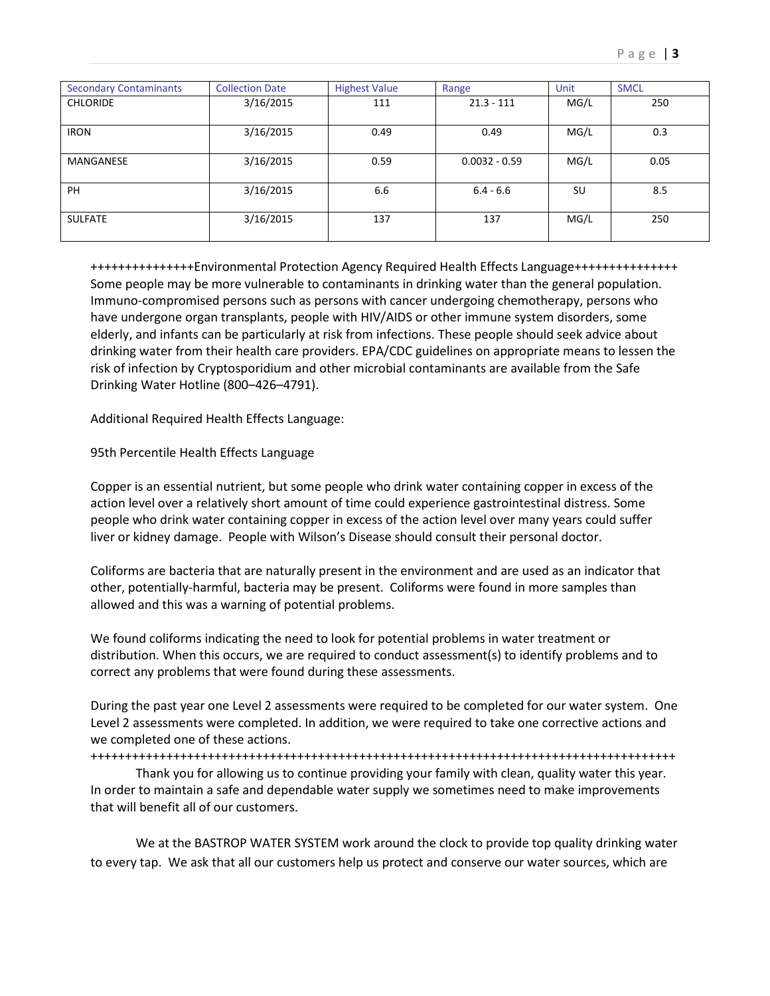| <b>Secondary Contaminants</b> | <b>Collection Date</b> | <b>Highest Value</b> | Range           | Unit | <b>SMCL</b> |
|-------------------------------|------------------------|----------------------|-----------------|------|-------------|
| <b>CHLORIDE</b>               | 3/16/2015              | 111                  | $21.3 - 111$    | MG/L | 250         |
| <b>IRON</b>                   | 3/16/2015              | 0.49                 | 0.49            | MG/L | 0.3         |
| MANGANESE                     | 3/16/2015              | 0.59                 | $0.0032 - 0.59$ | MG/L | 0.05        |
| <b>PH</b>                     | 3/16/2015              | 6.6                  | $6.4 - 6.6$     | SU   | 8.5         |
| <b>SULFATE</b>                | 3/16/2015              | 137                  | 137             | MG/L | 250         |

+++++++++++++++Environmental Protection Agency Required Health Effects Language+++++++++++++++ Some people may be more vulnerable to contaminants in drinking water than the general population. Immuno-compromised persons such as persons with cancer undergoing chemotherapy, persons who have undergone organ transplants, people with HIV/AIDS or other immune system disorders, some elderly, and infants can be particularly at risk from infections. These people should seek advice about drinking water from their health care providers. EPA/CDC guidelines on appropriate means to lessen the risk of infection by Cryptosporidium and other microbial contaminants are available from the Safe Drinking Water Hotline (800–426–4791).

Additional Required Health Effects Language:

## 95th Percentile Health Effects Language

Copper is an essential nutrient, but some people who drink water containing copper in excess of the action level over a relatively short amount of time could experience gastrointestinal distress. Some people who drink water containing copper in excess of the action level over many years could suffer liver or kidney damage. People with Wilson's Disease should consult their personal doctor.

Coliforms are bacteria that are naturally present in the environment and are used as an indicator that other, potentially-harmful, bacteria may be present. Coliforms were found in more samples than allowed and this was a warning of potential problems.

We found coliforms indicating the need to look for potential problems in water treatment or distribution. When this occurs, we are required to conduct assessment(s) to identify problems and to correct any problems that were found during these assessments.

During the past year one Level 2 assessments were required to be completed for our water system. One Level 2 assessments were completed. In addition, we were required to take one corrective actions and we completed one of these actions.

+++++++++++++++++++++++++++++++++++++++++++++++++++++++++++++++++++++++++++++++++++++

Thank you for allowing us to continue providing your family with clean, quality water this year. In order to maintain a safe and dependable water supply we sometimes need to make improvements that will benefit all of our customers.

We at the BASTROP WATER SYSTEM work around the clock to provide top quality drinking water to every tap. We ask that all our customers help us protect and conserve our water sources, which are